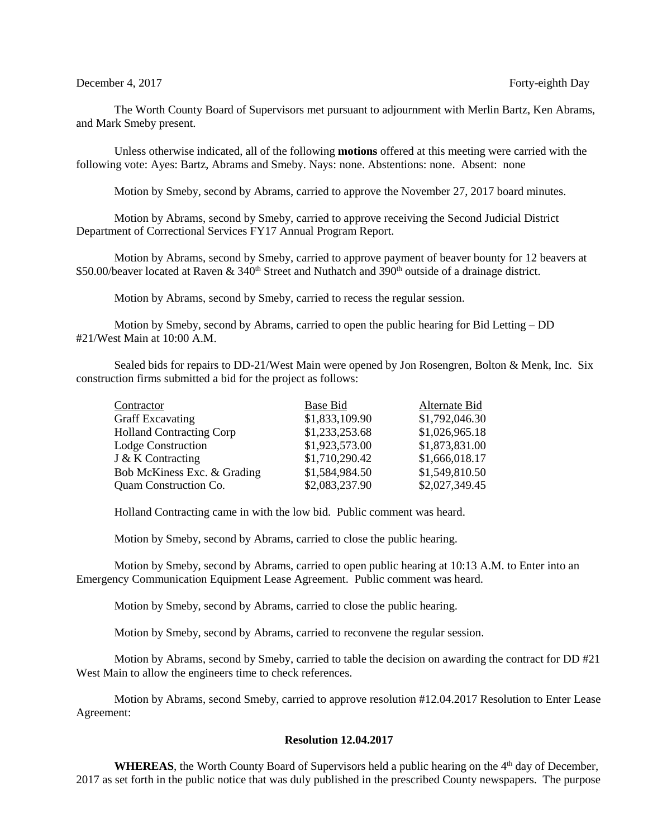The Worth County Board of Supervisors met pursuant to adjournment with Merlin Bartz, Ken Abrams, and Mark Smeby present.

Unless otherwise indicated, all of the following **motions** offered at this meeting were carried with the following vote: Ayes: Bartz, Abrams and Smeby. Nays: none. Abstentions: none. Absent: none

Motion by Smeby, second by Abrams, carried to approve the November 27, 2017 board minutes.

Motion by Abrams, second by Smeby, carried to approve receiving the Second Judicial District Department of Correctional Services FY17 Annual Program Report.

Motion by Abrams, second by Smeby, carried to approve payment of beaver bounty for 12 beavers at \$50.00/beaver located at Raven &  $340<sup>th</sup>$  Street and Nuthatch and 390<sup>th</sup> outside of a drainage district.

Motion by Abrams, second by Smeby, carried to recess the regular session.

Motion by Smeby, second by Abrams, carried to open the public hearing for Bid Letting – DD #21/West Main at 10:00 A.M.

Sealed bids for repairs to DD-21/West Main were opened by Jon Rosengren, Bolton & Menk, Inc. Six construction firms submitted a bid for the project as follows:

| Contractor                      | Base Bid       | Alternate Bid  |
|---------------------------------|----------------|----------------|
| <b>Graff Excavating</b>         | \$1,833,109.90 | \$1,792,046.30 |
| <b>Holland Contracting Corp</b> | \$1,233,253.68 | \$1,026,965.18 |
| <b>Lodge Construction</b>       | \$1,923,573.00 | \$1,873,831.00 |
| J & K Contracting               | \$1,710,290.42 | \$1,666,018.17 |
| Bob McKiness Exc. & Grading     | \$1,584,984.50 | \$1,549,810.50 |
| Quam Construction Co.           | \$2,083,237.90 | \$2,027,349.45 |

Holland Contracting came in with the low bid. Public comment was heard.

Motion by Smeby, second by Abrams, carried to close the public hearing.

Motion by Smeby, second by Abrams, carried to open public hearing at 10:13 A.M. to Enter into an Emergency Communication Equipment Lease Agreement. Public comment was heard.

Motion by Smeby, second by Abrams, carried to close the public hearing.

Motion by Smeby, second by Abrams, carried to reconvene the regular session.

Motion by Abrams, second by Smeby, carried to table the decision on awarding the contract for DD #21 West Main to allow the engineers time to check references.

Motion by Abrams, second Smeby, carried to approve resolution #12.04.2017 Resolution to Enter Lease Agreement:

## **Resolution 12.04.2017**

WHEREAS, the Worth County Board of Supervisors held a public hearing on the 4<sup>th</sup> day of December, 2017 as set forth in the public notice that was duly published in the prescribed County newspapers. The purpose